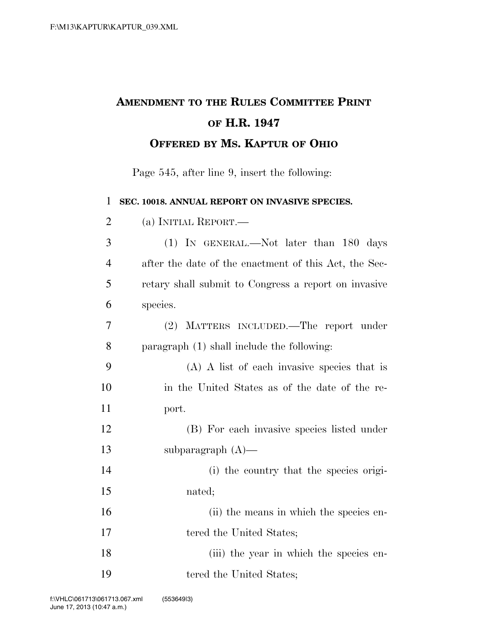## **AMENDMENT TO THE RULES COMMITTEE PRINT OF H.R. 1947 OFFERED BY MS. KAPTUR OF OHIO**

Page 545, after line 9, insert the following:

 **SEC. 10018. ANNUAL REPORT ON INVASIVE SPECIES.**  (a) INITIAL REPORT.— (1) IN GENERAL.—Not later than 180 days after the date of the enactment of this Act, the Sec- retary shall submit to Congress a report on invasive species. (2) MATTERS INCLUDED.—The report under paragraph (1) shall include the following: (A) A list of each invasive species that is in the United States as of the date of the re-11 port. (B) For each invasive species listed under subparagraph (A)— (i) the country that the species origi-15 nated; 16 (ii) the means in which the species en-17 tered the United States; 18 (iii) the year in which the species en-19 tered the United States;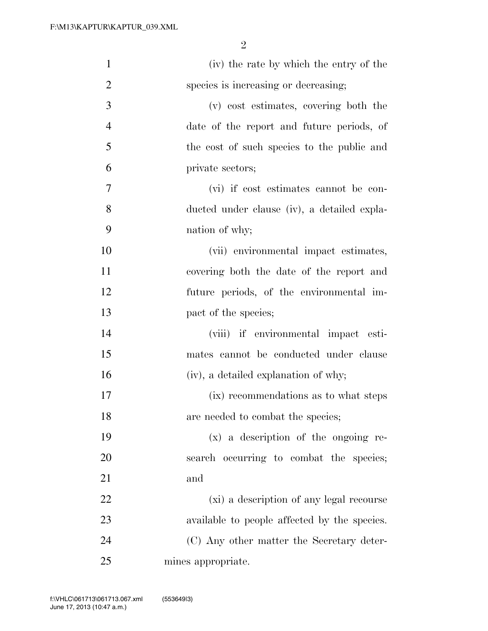| $\mathbf{1}$   | (iv) the rate by which the entry of the      |
|----------------|----------------------------------------------|
| $\overline{2}$ | species is increasing or decreasing;         |
| 3              | (v) cost estimates, covering both the        |
| $\overline{4}$ | date of the report and future periods, of    |
| 5              | the cost of such species to the public and   |
| 6              | private sectors;                             |
| 7              | (vi) if cost estimates cannot be con-        |
| 8              | ducted under clause (iv), a detailed expla-  |
| 9              | nation of why;                               |
| 10             | (vii) environmental impact estimates,        |
| 11             | covering both the date of the report and     |
| 12             | future periods, of the environmental im-     |
| 13             | pact of the species;                         |
| 14             | (viii) if environmental impact esti-         |
| 15             | mates cannot be conducted under clause       |
| 16             | (iv), a detailed explanation of why;         |
| 17             | (ix) recommendations as to what steps        |
| 18             | are needed to combat the species;            |
| 19             | $(x)$ a description of the ongoing re-       |
| 20             | search occurring to combat the species;      |
| 21             | and                                          |
| 22             | (xi) a description of any legal recourse     |
| 23             | available to people affected by the species. |
| 24             | (C) Any other matter the Secretary deter-    |
| 25             | mines appropriate.                           |